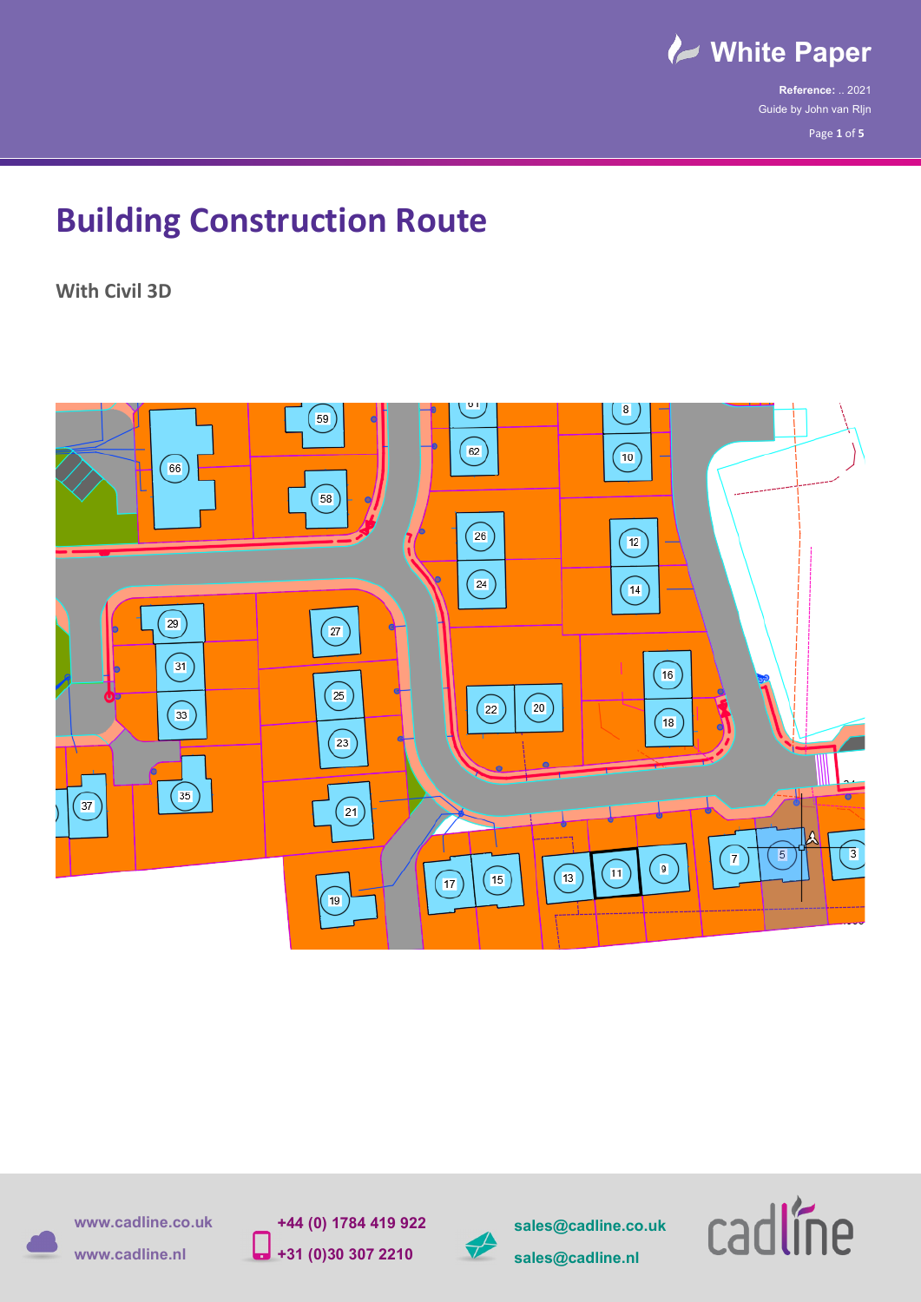

**Reference:** .. 2021 Guide by John van RIjn Page **1** of **5**

## **Building Construction Route**

**With Civil 3D**





**sales@cadline.co.uk**



**+44 (0) 1784 419 922 +31 (0)30 307 2210**

**www.cadline.co.uk**



**sales@cadline.nl** 

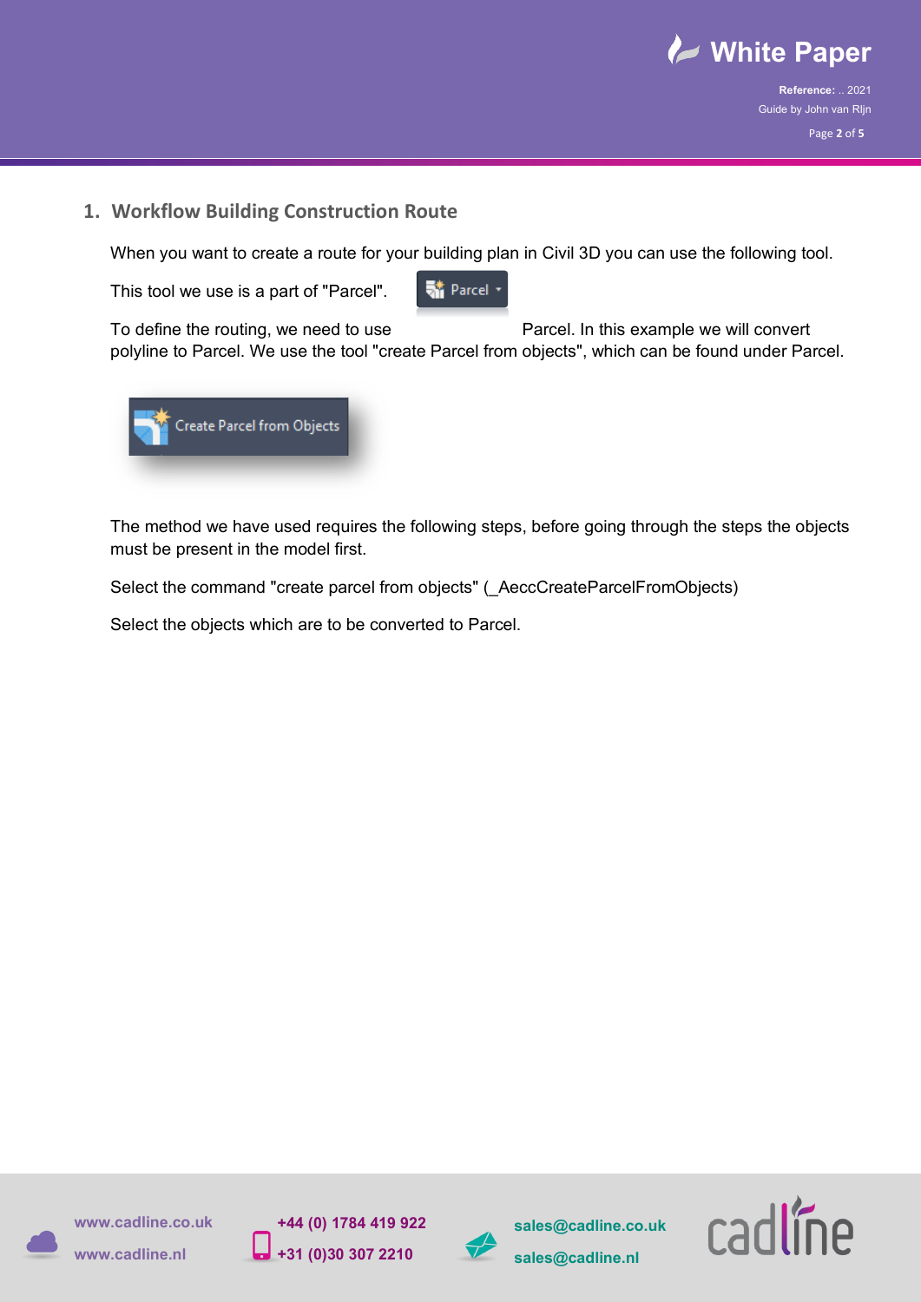

**Reference:** .. 2021 Guide by John van RIjn Page **2** of **5**

## **1. Workflow Building Construction Route**

When you want to create a route for your building plan in Civil 3D you can use the following tool.

This tool we use is a part of "Parcel".

**St** Parcel

To define the routing, we need to use Parcel. In this example we will convert polyline to Parcel. We use the tool "create Parcel from objects", which can be found under Parcel.



The method we have used requires the following steps, before going through the steps the objects must be present in the model first.

Select the command "create parcel from objects" ( AeccCreateParcelFromObjects)

Select the objects which are to be converted to Parcel.



**sales@cadline.co.uk**

**sales@cadline.nl** 

**www.cadline.co.uk**

**www.cadline.nl**

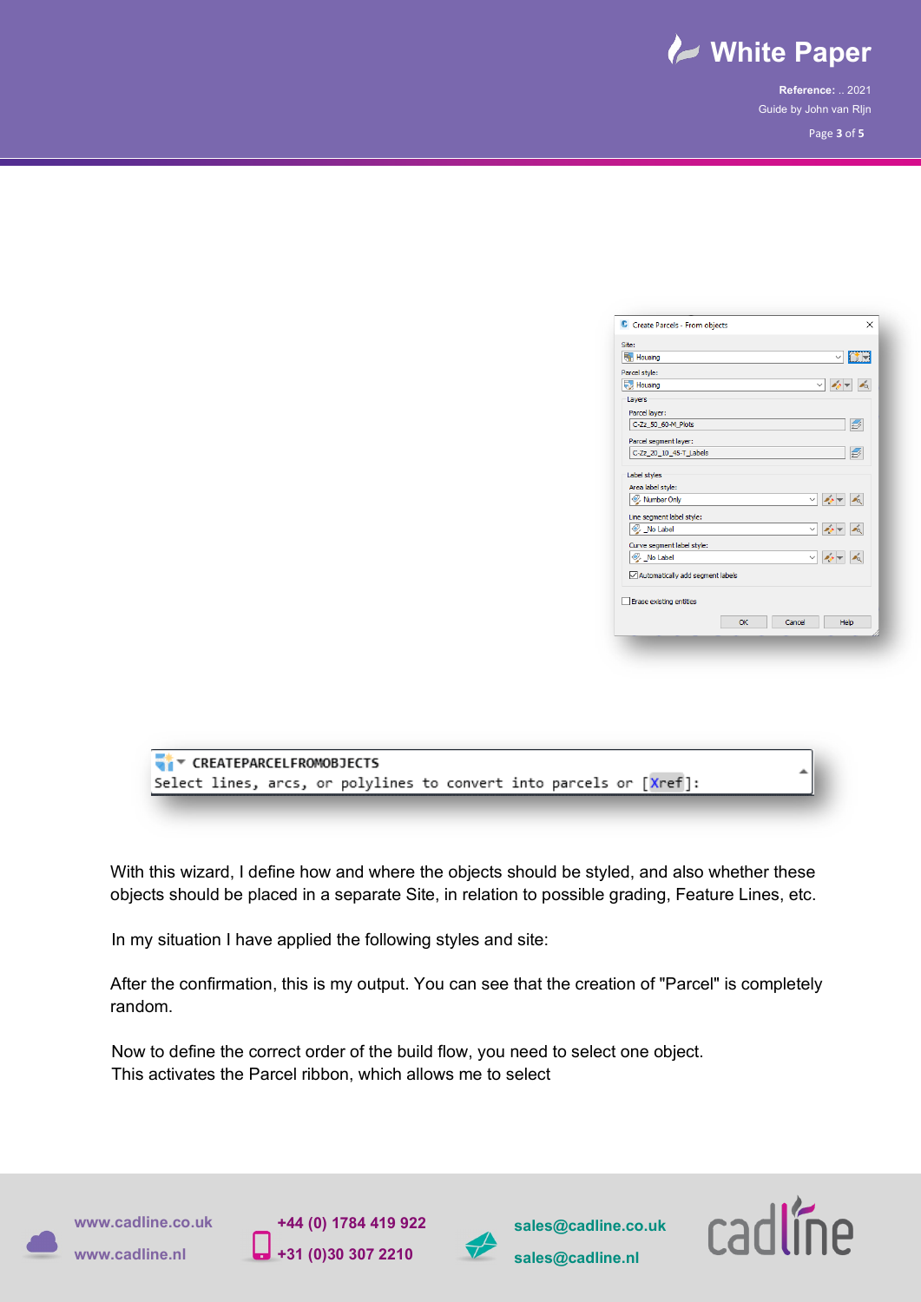

**Reference:** .. 2021 Guide by John van RIjn Page **3** of **5**

| C Create Parcels - From objects  |    |              | $\times$                                                                                                                                                                                                                                                                                                                                                                                     |
|----------------------------------|----|--------------|----------------------------------------------------------------------------------------------------------------------------------------------------------------------------------------------------------------------------------------------------------------------------------------------------------------------------------------------------------------------------------------------|
| Site:                            |    |              |                                                                                                                                                                                                                                                                                                                                                                                              |
| <b>Housing</b>                   |    |              | $ \uparrow $ $\downarrow$<br>$\checkmark$                                                                                                                                                                                                                                                                                                                                                    |
| Parcel style:                    |    |              |                                                                                                                                                                                                                                                                                                                                                                                              |
| Housing                          |    | $\checkmark$ | $20 -$<br>⊿তি                                                                                                                                                                                                                                                                                                                                                                                |
| Layers                           |    |              |                                                                                                                                                                                                                                                                                                                                                                                              |
| Parcel layer:                    |    |              |                                                                                                                                                                                                                                                                                                                                                                                              |
| C-Zz_50_60-M_Plots               |    |              | D)                                                                                                                                                                                                                                                                                                                                                                                           |
| Parcel segment layer:            |    |              |                                                                                                                                                                                                                                                                                                                                                                                              |
| C-Zz 20 10 45-T Labels           |    |              | 들                                                                                                                                                                                                                                                                                                                                                                                            |
| Label styles                     |    |              |                                                                                                                                                                                                                                                                                                                                                                                              |
| Area label style:                |    |              |                                                                                                                                                                                                                                                                                                                                                                                              |
| Number Only                      |    |              | $\frac{1}{2} \frac{1}{2} \frac{1}{2} \frac{1}{2} \frac{1}{2} \frac{1}{2} \frac{1}{2} \frac{1}{2} \frac{1}{2} \frac{1}{2} \frac{1}{2} \frac{1}{2} \frac{1}{2} \frac{1}{2} \frac{1}{2} \frac{1}{2} \frac{1}{2} \frac{1}{2} \frac{1}{2} \frac{1}{2} \frac{1}{2} \frac{1}{2} \frac{1}{2} \frac{1}{2} \frac{1}{2} \frac{1}{2} \frac{1}{2} \frac{1}{2} \frac{1}{2} \frac{1}{2} \frac{1}{2} \frac{$ |
| Line segment label style:        |    |              |                                                                                                                                                                                                                                                                                                                                                                                              |
| No Label                         |    |              | $\vee$ $\bullet$ $\bullet$ $\bullet$                                                                                                                                                                                                                                                                                                                                                         |
| Curve segment label style:       |    |              |                                                                                                                                                                                                                                                                                                                                                                                              |
| No Label                         |    |              | $\vee$ $\phi$ $\neq$ $\phi$                                                                                                                                                                                                                                                                                                                                                                  |
| Automatically add segment labels |    |              |                                                                                                                                                                                                                                                                                                                                                                                              |
| Erase existing entities          |    |              |                                                                                                                                                                                                                                                                                                                                                                                              |
|                                  |    |              |                                                                                                                                                                                                                                                                                                                                                                                              |
|                                  | OK | Cancel       | Help                                                                                                                                                                                                                                                                                                                                                                                         |
|                                  |    |              |                                                                                                                                                                                                                                                                                                                                                                                              |
|                                  |    |              |                                                                                                                                                                                                                                                                                                                                                                                              |



With this wizard, I define how and where the objects should be styled, and also whether these objects should be placed in a separate Site, in relation to possible grading, Feature Lines, etc.

In my situation I have applied the following styles and site:

After the confirmation, this is my output. You can see that the creation of "Parcel" is completely random.

Now to define the correct order of the build flow, you need to select one object. This activates the Parcel ribbon, which allows me to select

**www.cadline.co.uk**







**sales@cadline.co.uk sales@cadline.nl** 

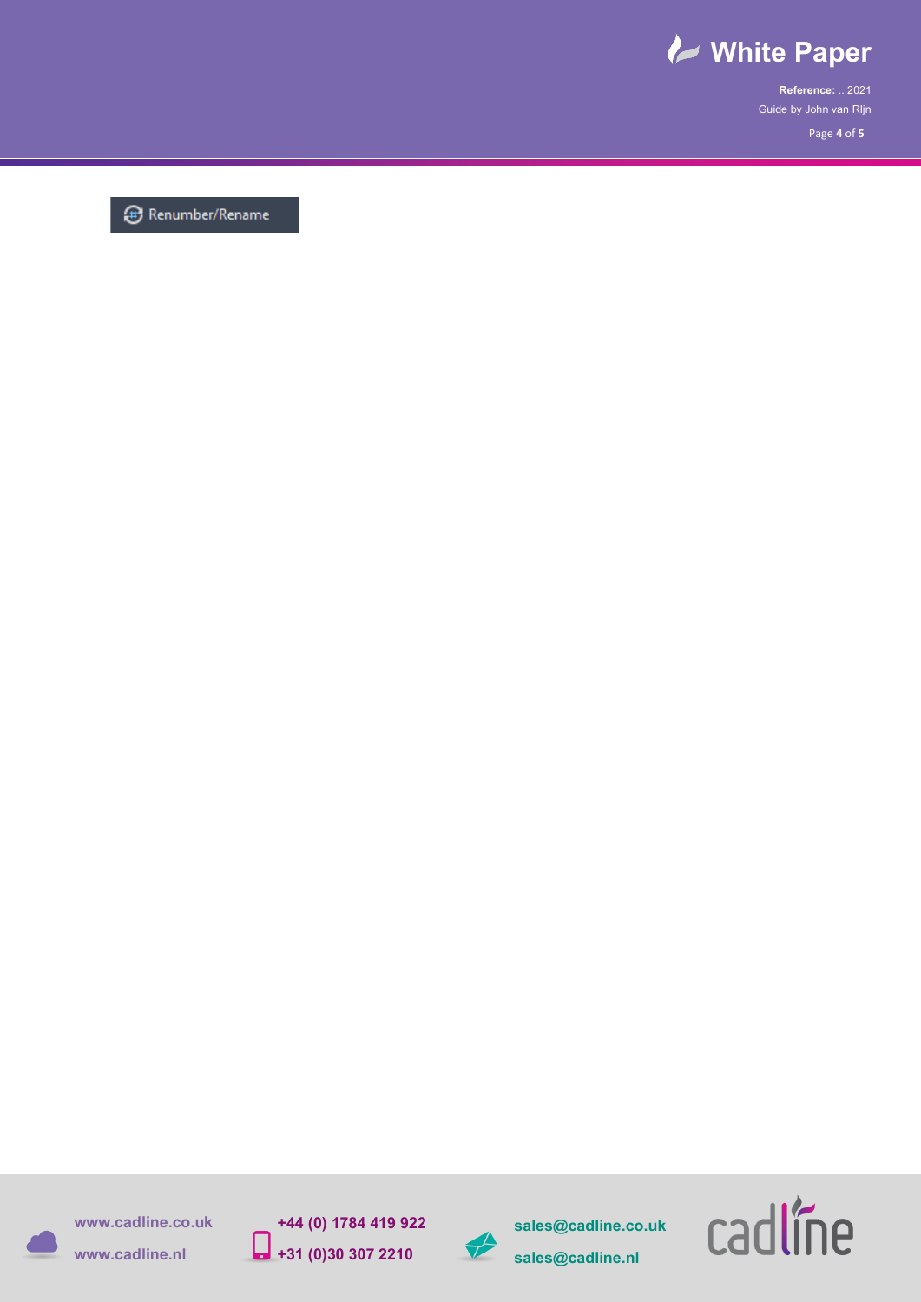

**Reference:** .. 2021 Guide by John van RIjn Page **4** of **5**

<sup>(1)</sup> Renumber/Rename



**sales@cadline.co.uk sales@cadline.nl** 



**+44 (0) 1784 419 922 +31 (0)30 307 2210**

**www.cadline.co.uk**



**www.cadline.nl**